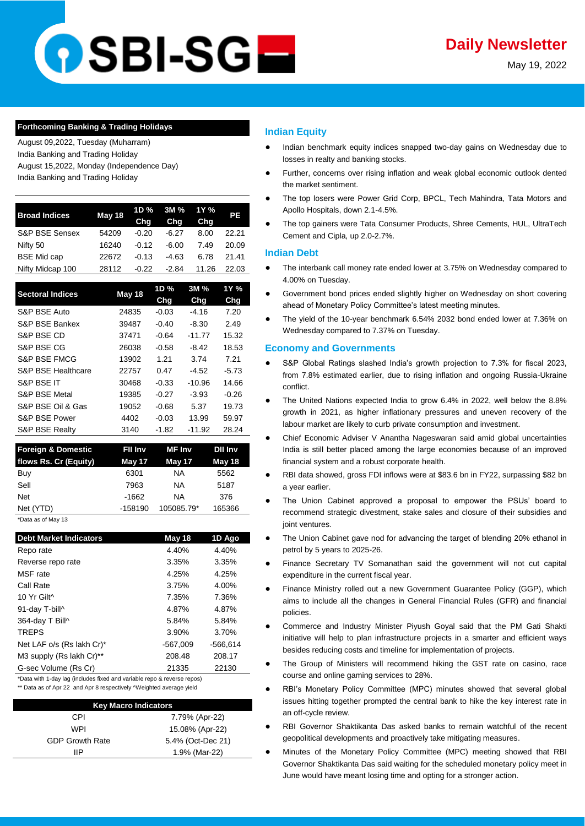# OSBI-SG**E**

May 19, 2022

## **Forthcoming Banking & Trading Holidays**

August 09,2022, Tuesday (Muharram) India Banking and Trading Holiday August 15,2022, Monday (Independence Day)

India Banking and Trading Holiday

| <b>Broad Indices</b> | May 18 | 1D %<br>Cha | 3M %<br>Chg | 1Y %<br>Cha | РE    |
|----------------------|--------|-------------|-------------|-------------|-------|
| S&P BSE Sensex       | 54209  | $-0.20$     | $-6.27$     | 8.00        | 22.21 |
| Nifty 50             | 16240  | $-0.12$     | $-6.00$     | 7.49        | 20.09 |
| <b>BSE Mid cap</b>   | 22672  | $-0.13$     | $-4.63$     | 6.78        | 21.41 |
| Nifty Midcap 100     | 28112  | $-0.22$     | $-2.84$     | 11.26       | 22.03 |

| <b>Sectoral Indices</b>       | May 18 | 1D %    | 3M %     | 1Y %    |
|-------------------------------|--------|---------|----------|---------|
|                               |        | Chg     | Chg      | Chg     |
| S&P BSE Auto                  | 24835  | $-0.03$ | $-4.16$  | 7.20    |
| S&P BSE Bankex                | 39487  | $-0.40$ | -8.30    | 2.49    |
| S&P BSE CD                    | 37471  | $-0.64$ | $-11.77$ | 15.32   |
| S&P BSE CG                    | 26038  | $-0.58$ | $-8.42$  | 18.53   |
| S&P BSE FMCG                  | 13902  | 1.21    | 3.74     | 7.21    |
| <b>S&amp;P BSE Healthcare</b> | 22757  | 0.47    | $-4.52$  | $-5.73$ |
| S&P BSE IT                    | 30468  | $-0.33$ | $-10.96$ | 14.66   |
| <b>S&amp;P BSE Metal</b>      | 19385  | $-0.27$ | $-3.93$  | $-0.26$ |
| S&P BSE Oil & Gas             | 19052  | $-0.68$ | 5.37     | 19.73   |
| S&P BSE Power                 | 4402   | $-0.03$ | 13.99    | 59.97   |
| <b>S&amp;P BSE Realty</b>     | 3140   | $-1.82$ | $-11.92$ | 28.24   |

| <b>Foreign &amp; Domestic</b> | Fil inv   | <b>MF</b> Inv | <b>Dil Inv</b> |
|-------------------------------|-----------|---------------|----------------|
| flows Rs. Cr (Equity)         | May 17    | May 17        | May 18         |
| Buy                           | 6301      | ΝA            | 5562           |
| Sell                          | 7963      | ΝA            | 5187           |
| <b>Net</b>                    | $-1662$   | NA.           | 376            |
| Net (YTD)                     | $-158190$ | 105085.79*    | 165366         |
| *Data as of May 13            |           |               |                |

**Debt Market Indicators May 18 1D Ago** Repo rate 4.40% 4.40% Reverse repo rate 3.35% 3.35% MSF rate 4.25% 4.25% Call Rate 3.75% 4.00% 10 Yr Gilt^ 7.35% 7.36% 91-day T-bill^ 4.87% 4.87% 364-day T Bill^ 5.84% 5.84% TREPS 3.90% 3.70% Net LAF o/s (Rs lakh Cr)\* -567,009 -566,614 M3 supply (Rs lakh Cr)\*\* 208.48 208.17 G-sec Volume (Rs Cr) 21335 22130

\*Data with 1-day lag (includes fixed and variable repo & reverse repos) \*\* Data as of Apr 22 and Apr 8 respectively ^Weighted average yield

| <b>Key Macro Indicators</b> |                   |  |  |  |
|-----------------------------|-------------------|--|--|--|
| CPI                         | 7.79% (Apr-22)    |  |  |  |
| WPI                         | 15.08% (Apr-22)   |  |  |  |
| <b>GDP Growth Rate</b>      | 5.4% (Oct-Dec 21) |  |  |  |
| ШP                          | 1.9% (Mar-22)     |  |  |  |

# **Indian Equity**

- Indian benchmark equity indices snapped two-day gains on Wednesday due to losses in realty and banking stocks.
- Further, concerns over rising inflation and weak global economic outlook dented the market sentiment.
- The top losers were Power Grid Corp, BPCL, Tech Mahindra, Tata Motors and Apollo Hospitals, down 2.1-4.5%.
- The top gainers were Tata Consumer Products, Shree Cements, HUL, UltraTech Cement and Cipla, up 2.0-2.7%.

# **Indian Debt**

- The interbank call money rate ended lower at 3.75% on Wednesday compared to 4.00% on Tuesday.
- Government bond prices ended slightly higher on Wednesday on short covering ahead of Monetary Policy Committee's latest meeting minutes.
- The yield of the 10-year benchmark 6.54% 2032 bond ended lower at 7.36% on Wednesday compared to 7.37% on Tuesday.

# **Economy and Governments**

- S&P Global Ratings slashed India's growth projection to 7.3% for fiscal 2023, [from 7.8% estimated earlier, due to rising inflation and ongoing Russia-Ukraine](https://economictimes.indiatimes.com/news/economy/indicators/sp-cuts-fy23-india-growth-forecast-to-7-3-on-rising-inflation-russia-ukraine-war/articleshow/91634474.cms)  [conflict.](https://economictimes.indiatimes.com/news/economy/indicators/sp-cuts-fy23-india-growth-forecast-to-7-3-on-rising-inflation-russia-ukraine-war/articleshow/91634474.cms)
- The United Nations expected India to grow 6.4% in 2022, well below the 8.8% [growth in 2021, as higher inflationary pressures and uneven recovery of the](https://economictimes.indiatimes.com/news/economy/indicators/un-cuts-india-growth-estimate-to-6-4-in-2022/articleshow/91649517.cms)  [labour market are likely to curb private consumption and investment.](https://economictimes.indiatimes.com/news/economy/indicators/un-cuts-india-growth-estimate-to-6-4-in-2022/articleshow/91649517.cms)
- Chief Economic Adviser V Anantha Nageswaran said amid global uncertainties [India is still better placed among the large economies because of an improved](https://economictimes.indiatimes.com/news/economy/policy/india-better-placed-to-face-global-challenges-and-uncertainties-cea-v-anantha-nageswaran/articleshow/91641960.cms?utm_source=contentofinterest&utm_medium=text&utm_campaign=cppst)  [financial system and a robust corporate health.](https://economictimes.indiatimes.com/news/economy/policy/india-better-placed-to-face-global-challenges-and-uncertainties-cea-v-anantha-nageswaran/articleshow/91641960.cms?utm_source=contentofinterest&utm_medium=text&utm_campaign=cppst)
- RBI data showed, gross FDI inflows were at \$83.6 bn in FY22, surpassing \$82 bn [a year earlier.](https://economictimes.indiatimes.com/news/economy/finance/india-remains-attractive-for-fdi-investors/articleshow/91648995.cms)
- The Union Cabinet approved a proposal to empower the PSUs' board to [recommend strategic divestment, stake sales and closure of their subsidies and](https://www.business-standard.com/article/economy-policy/cabinet-empowers-psu-boards-to-recommend-stake-sale-close-subsidiaries-122051800810_1.html)  [joint ventures.](https://www.business-standard.com/article/economy-policy/cabinet-empowers-psu-boards-to-recommend-stake-sale-close-subsidiaries-122051800810_1.html)
- The Union Cabinet gave nod for advancing the target of blending 20% ethanol in [petrol by 5 years to 2025-26.](https://economictimes.indiatimes.com/industry/renewables/cabinet-amends-biofuels-policy-advances-ethanol-blending-target-to-2025-26/articleshow/91637676.cms?utm_source=contentofinterest&utm_medium=text&utm_campaign=cppst)
- Finance Secretary TV Somanathan said the government will not cut capital [expenditure in the current fiscal year.](https://economictimes.indiatimes.com/news/economy/finance/centre-wont-trim-its-capex-plan-despite-inflation-running-hot/articleshow/91651659.cms)
- Finance Ministry rolled out a new Government Guarantee Policy (GGP), which [aims to include all the changes in General Financial Rules \(GFR\) and financial](https://www.thehindubusinessline.com/economy/finmin-comes-out-with-new-guarantee-policy/article65426119.ece)  [policies.](https://www.thehindubusinessline.com/economy/finmin-comes-out-with-new-guarantee-policy/article65426119.ece)
- Commerce and Industry Minister Piyush Goyal said that the PM Gati Shakti [initiative will help to plan infrastructure projects in a smarter and efficient ways](https://economictimes.indiatimes.com/news/economy/infrastructure/pm-gati-shakti-to-help-plan-infra-projets-in-smarter-ways-reduce-costs/articleshow/91644052.cms?utm_source=contentofinterest&utm_medium=text&utm_campaign=cppst)  [besides reducing costs and timeline for implementation of projects.](https://economictimes.indiatimes.com/news/economy/infrastructure/pm-gati-shakti-to-help-plan-infra-projets-in-smarter-ways-reduce-costs/articleshow/91644052.cms?utm_source=contentofinterest&utm_medium=text&utm_campaign=cppst)
- The Group of Ministers will recommend hiking the GST rate on casino, race [course and online gaming services to 28%.](https://economictimes.indiatimes.com/news/economy/policy/group-of-ministers-agree-to-levy-28-gst-on-casino-race-course-and-online-gaming/articleshow/91638515.cms?utm_source=contentofinterest&utm_medium=text&utm_campaign=cppst)
- RBI's Monetary Policy Committee (MPC) minutes showed that several global [issues hitting together prompted the central bank to hike the key interest rate in](https://www.business-standard.com/article/finance/global-storms-hitting-together-prompted-rbi-to-hike-rate-mpc-minutes-122051801102_1.html)  [an off-cycle review.](https://www.business-standard.com/article/finance/global-storms-hitting-together-prompted-rbi-to-hike-rate-mpc-minutes-122051801102_1.html)
- RBI Governor Shaktikanta Das asked banks to remain watchful of the recent [geopolitical developments and proactively take mitigating measures.](https://www.thehindubusinessline.com/money-and-banking/take-proactive-mitigating-measures-rbi-tells-banks-amid-global-uncertainty/article65425989.ece)
- Minutes of the Monetary Policy Committee (MPC) meeting showed that RBI [Governor Shaktikanta Das said waiting for the scheduled monetary policy meet in](https://www.business-standard.com/article/finance/global-storms-hitting-together-prompted-rbi-to-hike-rate-mpc-minutes-122051801102_1.html)  [June would have meant losing time and opting for a stronger action.](https://www.business-standard.com/article/finance/global-storms-hitting-together-prompted-rbi-to-hike-rate-mpc-minutes-122051801102_1.html)